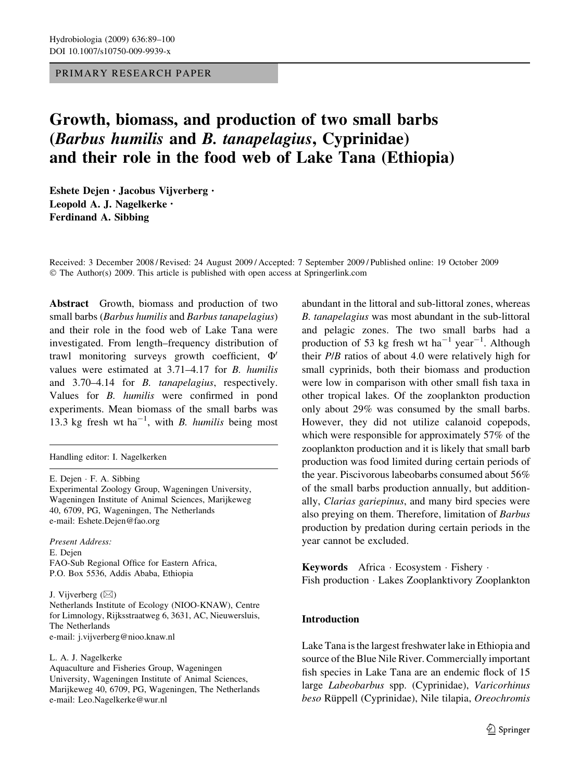## PRIMARY RESEARCH PAPER

# Growth, biomass, and production of two small barbs (Barbus humilis and B. tanapelagius, Cyprinidae) and their role in the food web of Lake Tana (Ethiopia)

Eshete Dejen • Jacobus Vijverberg • Leopold A. J. Nagelkerke • Ferdinand A. Sibbing

Received: 3 December 2008 / Revised: 24 August 2009 / Accepted: 7 September 2009 / Published online: 19 October 2009  $\odot$  The Author(s) 2009. This article is published with open access at Springerlink.com

Abstract Growth, biomass and production of two small barbs (Barbus humilis and Barbus tanapelagius) and their role in the food web of Lake Tana were investigated. From length–frequency distribution of trawl monitoring surveys growth coefficient,  $\Phi'$ values were estimated at 3.71–4.17 for B. humilis and 3.70–4.14 for B. tanapelagius, respectively. Values for B. humilis were confirmed in pond experiments. Mean biomass of the small barbs was 13.3 kg fresh wt ha<sup>-1</sup>, with *B. humilis* being most

Handling editor: I. Nagelkerken

Present Address: E. Dejen FAO-Sub Regional Office for Eastern Africa, P.O. Box 5536, Addis Ababa, Ethiopia

J. Vijverberg  $(\boxtimes)$ 

Netherlands Institute of Ecology (NIOO-KNAW), Centre for Limnology, Rijksstraatweg 6, 3631, AC, Nieuwersluis, The Netherlands e-mail: j.vijverberg@nioo.knaw.nl

L. A. J. Nagelkerke

Aquaculture and Fisheries Group, Wageningen University, Wageningen Institute of Animal Sciences, Marijkeweg 40, 6709, PG, Wageningen, The Netherlands e-mail: Leo.Nagelkerke@wur.nl

abundant in the littoral and sub-littoral zones, whereas B. tanapelagius was most abundant in the sub-littoral and pelagic zones. The two small barbs had a production of 53 kg fresh wt ha<sup>-1</sup> year<sup>-1</sup>. Although their P/B ratios of about 4.0 were relatively high for small cyprinids, both their biomass and production were low in comparison with other small fish taxa in other tropical lakes. Of the zooplankton production only about 29% was consumed by the small barbs. However, they did not utilize calanoid copepods, which were responsible for approximately 57% of the zooplankton production and it is likely that small barb production was food limited during certain periods of the year. Piscivorous labeobarbs consumed about 56% of the small barbs production annually, but additionally, Clarias gariepinus, and many bird species were also preying on them. Therefore, limitation of Barbus production by predation during certain periods in the year cannot be excluded.

Keywords Africa · Ecosystem · Fishery · Fish production · Lakes Zooplanktivory Zooplankton

## Introduction

Lake Tana is the largest freshwater lake in Ethiopia and source of the Blue Nile River. Commercially important fish species in Lake Tana are an endemic flock of 15 large Labeobarbus spp. (Cyprinidae), Varicorhinus beso Rüppell (Cyprinidae), Nile tilapia, Oreochromis

E. Dejen · F. A. Sibbing Experimental Zoology Group, Wageningen University, Wageningen Institute of Animal Sciences, Marijkeweg 40, 6709, PG, Wageningen, The Netherlands e-mail: Eshete.Dejen@fao.org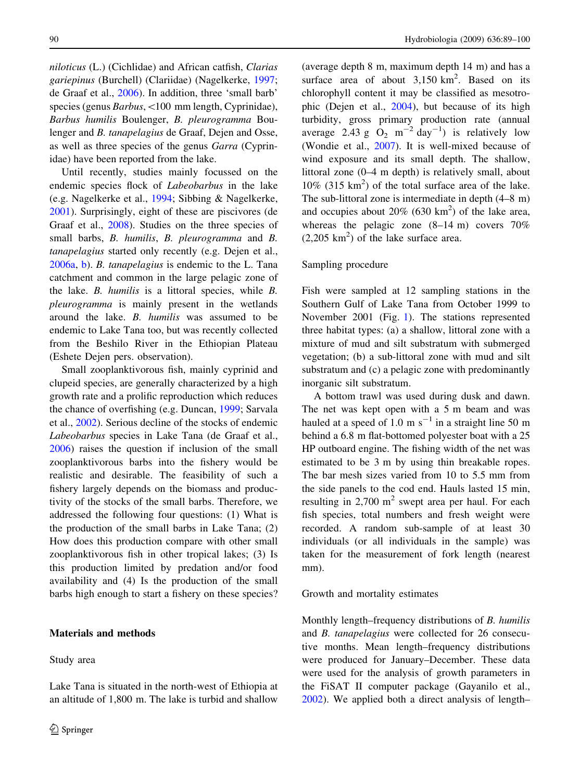niloticus (L.) (Cichlidae) and African catfish, Clarias gariepinus (Burchell) (Clariidae) (Nagelkerke, [1997](#page-11-0); de Graaf et al., [2006\)](#page-10-0). In addition, three 'small barb' species (genus Barbus, <100 mm length, Cyprinidae), Barbus humilis Boulenger, B. pleurogramma Boulenger and B. tanapelagius de Graaf, Dejen and Osse, as well as three species of the genus Garra (Cyprinidae) have been reported from the lake.

Until recently, studies mainly focussed on the endemic species flock of Labeobarbus in the lake (e.g. Nagelkerke et al., [1994;](#page-11-0) Sibbing & Nagelkerke, [2001\)](#page-11-0). Surprisingly, eight of these are piscivores (de Graaf et al., [2008\)](#page-10-0). Studies on the three species of small barbs, B. humilis, B. pleurogramma and B. tanapelagius started only recently (e.g. Dejen et al., [2006a](#page-10-0), [b\)](#page-10-0). B. tanapelagius is endemic to the L. Tana catchment and common in the large pelagic zone of the lake. B. humilis is a littoral species, while B. pleurogramma is mainly present in the wetlands around the lake. B. humilis was assumed to be endemic to Lake Tana too, but was recently collected from the Beshilo River in the Ethiopian Plateau (Eshete Dejen pers. observation).

Small zooplanktivorous fish, mainly cyprinid and clupeid species, are generally characterized by a high growth rate and a prolific reproduction which reduces the chance of overfishing (e.g. Duncan, [1999;](#page-10-0) Sarvala et al., [2002](#page-11-0)). Serious decline of the stocks of endemic Labeobarbus species in Lake Tana (de Graaf et al., [2006\)](#page-10-0) raises the question if inclusion of the small zooplanktivorous barbs into the fishery would be realistic and desirable. The feasibility of such a fishery largely depends on the biomass and productivity of the stocks of the small barbs. Therefore, we addressed the following four questions: (1) What is the production of the small barbs in Lake Tana; (2) How does this production compare with other small zooplanktivorous fish in other tropical lakes; (3) Is this production limited by predation and/or food availability and (4) Is the production of the small barbs high enough to start a fishery on these species?

#### Materials and methods

Study area

Lake Tana is situated in the north-west of Ethiopia at an altitude of 1,800 m. The lake is turbid and shallow

(average depth 8 m, maximum depth 14 m) and has a surface area of about  $3,150 \text{ km}^2$ . Based on its chlorophyll content it may be classified as mesotrophic (Dejen et al., [2004](#page-10-0)), but because of its high turbidity, gross primary production rate (annual average 2.43 g  $O_2$  m<sup>-2</sup> day<sup>-1</sup>) is relatively low (Wondie et al., [2007](#page-11-0)). It is well-mixed because of wind exposure and its small depth. The shallow, littoral zone (0–4 m depth) is relatively small, about  $10\%$  (315 km<sup>2</sup>) of the total surface area of the lake. The sub-littoral zone is intermediate in depth (4–8 m) and occupies about  $20\%$  (630 km<sup>2</sup>) of the lake area, whereas the pelagic zone (8–14 m) covers 70%  $(2,205 \text{ km}^2)$  of the lake surface area.

#### Sampling procedure

Fish were sampled at 12 sampling stations in the Southern Gulf of Lake Tana from October 1999 to November 2001 (Fig. [1\)](#page-2-0). The stations represented three habitat types: (a) a shallow, littoral zone with a mixture of mud and silt substratum with submerged vegetation; (b) a sub-littoral zone with mud and silt substratum and (c) a pelagic zone with predominantly inorganic silt substratum.

A bottom trawl was used during dusk and dawn. The net was kept open with a 5 m beam and was hauled at a speed of 1.0 m  $s^{-1}$  in a straight line 50 m behind a 6.8 m flat-bottomed polyester boat with a 25 HP outboard engine. The fishing width of the net was estimated to be 3 m by using thin breakable ropes. The bar mesh sizes varied from 10 to 5.5 mm from the side panels to the cod end. Hauls lasted 15 min, resulting in  $2,700 \text{ m}^2$  swept area per haul. For each fish species, total numbers and fresh weight were recorded. A random sub-sample of at least 30 individuals (or all individuals in the sample) was taken for the measurement of fork length (nearest mm).

#### Growth and mortality estimates

Monthly length–frequency distributions of B. humilis and B. tanapelagius were collected for 26 consecutive months. Mean length–frequency distributions were produced for January–December. These data were used for the analysis of growth parameters in the FiSAT II computer package (Gayanilo et al., [2002\)](#page-11-0). We applied both a direct analysis of length–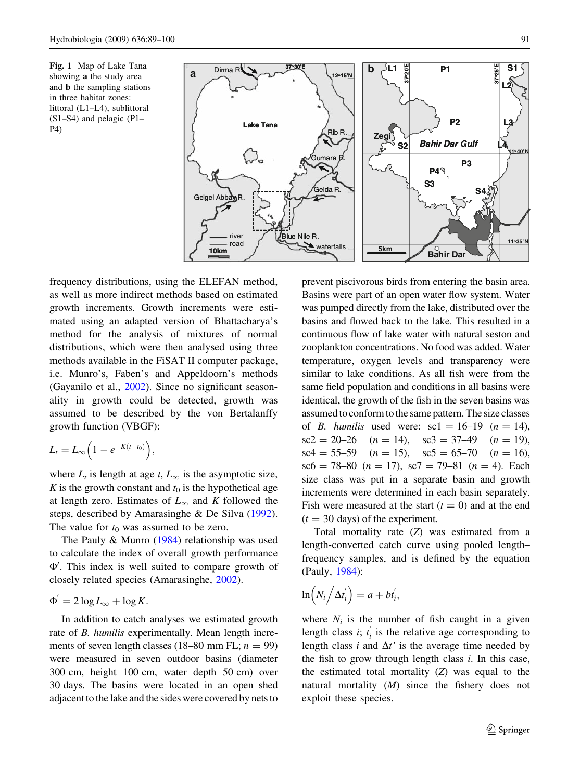<span id="page-2-0"></span>Fig. 1 Map of Lake Tana showing a the study area and b the sampling stations in three habitat zones: littoral (L1–L4), sublittoral (S1–S4) and pelagic (P1– P4)



frequency distributions, using the ELEFAN method, as well as more indirect methods based on estimated growth increments. Growth increments were estimated using an adapted version of Bhattacharya's method for the analysis of mixtures of normal distributions, which were then analysed using three methods available in the FiSAT II computer package, i.e. Munro's, Faben's and Appeldoorn's methods (Gayanilo et al.,  $2002$ ). Since no significant seasonality in growth could be detected, growth was assumed to be described by the von Bertalanffy growth function (VBGF):

$$
L_t=L_\infty\Big(1-e^{-K(t-t_0)}\Big),\,
$$

where  $L_t$  is length at age t,  $L_\infty$  is the asymptotic size, K is the growth constant and  $t_0$  is the hypothetical age at length zero. Estimates of  $L_{\infty}$  and K followed the steps, described by Amarasinghe & De Silva [\(1992](#page-10-0)). The value for  $t_0$  was assumed to be zero.

The Pauly & Munro ([1984\)](#page-11-0) relationship was used to calculate the index of overall growth performance  $\Phi'$ . This index is well suited to compare growth of closely related species (Amarasinghe, [2002\)](#page-10-0).

$$
\Phi' = 2\log L_{\infty} + \log K.
$$

In addition to catch analyses we estimated growth rate of B. humilis experimentally. Mean length increments of seven length classes (18–80 mm FL;  $n = 99$ ) were measured in seven outdoor basins (diameter 300 cm, height 100 cm, water depth 50 cm) over 30 days. The basins were located in an open shed adjacent to the lake and the sides were covered by nets to prevent piscivorous birds from entering the basin area. Basins were part of an open water flow system. Water was pumped directly from the lake, distributed over the basins and flowed back to the lake. This resulted in a continuous flow of lake water with natural seston and zooplankton concentrations. No food was added. Water temperature, oxygen levels and transparency were similar to lake conditions. As all fish were from the same field population and conditions in all basins were identical, the growth of the fish in the seven basins was assumed to conform to the same pattern. The size classes of *B. humilis* used were:  $\text{sc}1 = 16-19$  ( $n = 14$ ),  $\text{sc2} = 20-26 \quad (n = 14), \quad \text{sc3} = 37-49 \quad (n = 19),$  $\text{sc}4 = 55-59$   $(n = 15)$ ,  $\text{sc}5 = 65-70$   $(n = 16)$ ,  $\text{sc}6 = 78 - 80 \ (n = 17), \ \text{sc}7 = 79 - 81 \ (n = 4).$  Each size class was put in a separate basin and growth increments were determined in each basin separately. Fish were measured at the start  $(t = 0)$  and at the end  $(t = 30$  days) of the experiment.

Total mortality rate (Z) was estimated from a length-converted catch curve using pooled length– frequency samples, and is defined by the equation (Pauly, [1984\)](#page-11-0):

$$
\ln\left(N_i\left/\Delta t_i^{'}\right)\right)=a+bt_i^{'},
$$

where  $N_i$  is the number of fish caught in a given length class *i*;  $t'_i$  is the relative age corresponding to length class i and  $\Delta t$  is the average time needed by the fish to grow through length class  $i$ . In this case, the estimated total mortality  $(Z)$  was equal to the natural mortality (M) since the fishery does not exploit these species.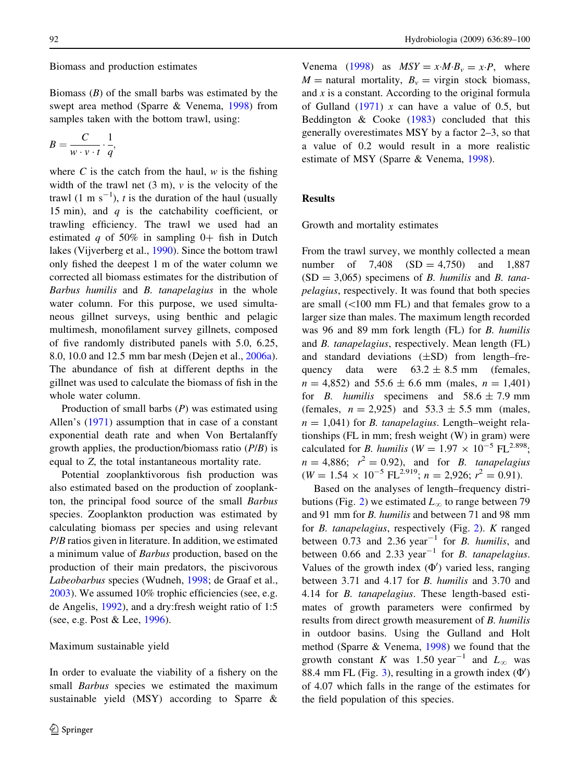## Biomass and production estimates

Biomass  $(B)$  of the small barbs was estimated by the swept area method (Sparre & Venema, [1998](#page-11-0)) from samples taken with the bottom trawl, using:

$$
B=\frac{C}{w\cdot v\cdot t}\cdot\frac{1}{q},
$$

where  $C$  is the catch from the haul,  $w$  is the fishing width of the trawl net  $(3 \text{ m})$ ,  $\nu$  is the velocity of the trawl  $(1 \text{ m s}^{-1})$ , *t* is the duration of the haul (usually 15 min), and  $q$  is the catchability coefficient, or trawling efficiency. The trawl we used had an estimated q of 50% in sampling  $0+$  fish in Dutch lakes (Vijverberg et al., [1990](#page-11-0)). Since the bottom trawl only fished the deepest 1 m of the water column we corrected all biomass estimates for the distribution of Barbus humilis and B. tanapelagius in the whole water column. For this purpose, we used simultaneous gillnet surveys, using benthic and pelagic multimesh, monofilament survey gillnets, composed of five randomly distributed panels with 5.0, 6.25, 8.0, 10.0 and 12.5 mm bar mesh (Dejen et al., [2006a](#page-10-0)). The abundance of fish at different depths in the gillnet was used to calculate the biomass of fish in the whole water column.

Production of small barbs  $(P)$  was estimated using Allen's ([1971\)](#page-10-0) assumption that in case of a constant exponential death rate and when Von Bertalanffy growth applies, the production/biomass ratio  $(P/B)$  is equal to Z, the total instantaneous mortality rate.

Potential zooplanktivorous fish production was also estimated based on the production of zooplankton, the principal food source of the small Barbus species. Zooplankton production was estimated by calculating biomass per species and using relevant P/B ratios given in literature. In addition, we estimated a minimum value of Barbus production, based on the production of their main predators, the piscivorous Labeobarbus species (Wudneh, [1998](#page-11-0); de Graaf et al., [2003\)](#page-10-0). We assumed 10% trophic efficiencies (see, e.g. de Angelis, [1992](#page-10-0)), and a dry:fresh weight ratio of 1:5 (see, e.g. Post & Lee, [1996\)](#page-11-0).

#### Maximum sustainable yield

In order to evaluate the viability of a fishery on the small *Barbus* species we estimated the maximum sustainable yield (MSY) according to Sparre &

Venema [\(1998](#page-11-0)) as  $MSY = x \cdot M \cdot B_v = x \cdot P$ , where  $M =$  natural mortality,  $B_v =$  virgin stock biomass, and  $x$  is a constant. According to the original formula of Gulland  $(1971)$  $(1971)$  $(1971)$  x can have a value of 0.5, but Beddington & Cooke ([1983\)](#page-10-0) concluded that this generally overestimates MSY by a factor 2–3, so that a value of 0.2 would result in a more realistic estimate of MSY (Sparre & Venema, [1998](#page-11-0)).

## Results

Growth and mortality estimates

From the trawl survey, we monthly collected a mean number of  $7,408$   $(SD = 4,750)$  and  $1,887$  $(SD = 3,065)$  specimens of B. humilis and B. tanapelagius, respectively. It was found that both species are small  $(<100$  mm FL) and that females grow to a larger size than males. The maximum length recorded was 96 and 89 mm fork length (FL) for B. humilis and B. tanapelagius, respectively. Mean length (FL) and standard deviations (±SD) from length–frequency data were  $63.2 \pm 8.5$  mm (females,  $n = 4,852$  and  $55.6 \pm 6.6$  mm (males,  $n = 1,401$ ) for *B. humilis* specimens and  $58.6 \pm 7.9$  mm (females,  $n = 2,925$ ) and  $53.3 \pm 5.5$  mm (males,  $n = 1,041$ ) for *B. tanapelagius*. Length–weight relationships (FL in mm; fresh weight (W) in gram) were calculated for *B*. humilis ( $W = 1.97 \times 10^{-5}$  FL<sup>2.898</sup>;  $n = 4,886;$   $r^2 = 0.92$ , and for *B. tanapelagius*  $(W = 1.54 \times 10^{-5} \text{ FL}^{2.919}; n = 2,926; r^2 = 0.91).$ 

Based on the analyses of length–frequency distri-butions (Fig. [2](#page-4-0)) we estimated  $L_{\infty}$  to range between 79 and 91 mm for B. humilis and between 71 and 98 mm for B. tanapelagius, respectively (Fig. [2](#page-4-0)). K ranged between  $0.73$  and  $2.36$  year<sup>-1</sup> for *B. humilis*, and between 0.66 and 2.33 year<sup>-1</sup> for *B. tanapelagius*. Values of the growth index  $(\Phi')$  varied less, ranging between 3.71 and 4.17 for B. humilis and 3.70 and 4.14 for B. tanapelagius. These length-based estimates of growth parameters were confirmed by results from direct growth measurement of B. humilis in outdoor basins. Using the Gulland and Holt method (Sparre & Venema, [1998](#page-11-0)) we found that the growth constant K was 1.50 year<sup>-1</sup> and  $L_{\infty}$  was 88.4 mm FL (Fig. [3](#page-4-0)), resulting in a growth index  $(\Phi')$ of 4.07 which falls in the range of the estimates for the field population of this species.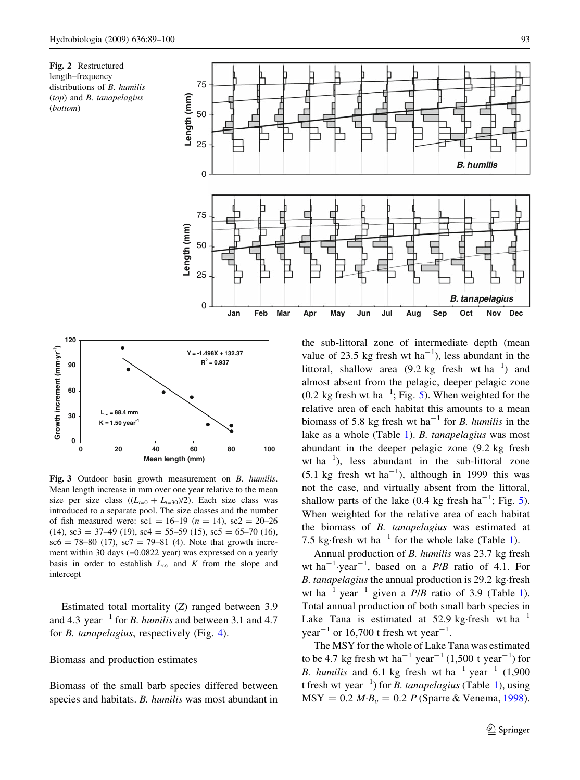<span id="page-4-0"></span>





Fig. 3 Outdoor basin growth measurement on B. humilis. Mean length increase in mm over one year relative to the mean size per size class  $((L_{t=0} + L_{t=30})/2)$ . Each size class was introduced to a separate pool. The size classes and the number of fish measured were:  $\text{sc}1 = 16-19$  ( $n = 14$ ),  $\text{sc}2 = 20-26$  $(14)$ , sc3 = 37–49 (19), sc4 = 55–59 (15), sc5 = 65–70 (16),  $\text{sc}6 = 78 - 80$  (17),  $\text{sc}7 = 79 - 81$  (4). Note that growth increment within 30 days (=0.0822 year) was expressed on a yearly basis in order to establish  $L_{\infty}$  and K from the slope and intercept

Estimated total mortality (Z) ranged between 3.9 and 4.3 year<sup>-1</sup> for *B*. *humilis* and between 3.1 and 4.7 for B. tanapelagius, respectively (Fig. [4](#page-5-0)).

## Biomass and production estimates

Biomass of the small barb species differed between species and habitats. B. humilis was most abundant in the sub-littoral zone of intermediate depth (mean value of 23.5 kg fresh wt  $ha^{-1}$ ), less abundant in the littoral, shallow area  $(9.2 \text{ kg}$  fresh wt ha<sup>-1</sup>) and almost absent from the pelagic, deeper pelagic zone  $(0.2 \text{ kg fresh wt ha}^{-1}; \text{Fig. 5}).$  $(0.2 \text{ kg fresh wt ha}^{-1}; \text{Fig. 5}).$  $(0.2 \text{ kg fresh wt ha}^{-1}; \text{Fig. 5}).$  When weighted for the relative area of each habitat this amounts to a mean biomass of 5.8 kg fresh wt ha<sup>-1</sup> for *B*. *humilis* in the lake as a whole (Table [1](#page-6-0)). B. tanapelagius was most abundant in the deeper pelagic zone (9.2 kg fresh wt  $ha^{-1}$ ), less abundant in the sub-littoral zone  $(5.1 \text{ kg}$  fresh wt ha<sup>-1</sup>), although in 1999 this was not the case, and virtually absent from the littoral, shallow parts of the lake  $(0.4 \text{ kg fresh ha}^{-1}; \text{Fig. 5}).$  $(0.4 \text{ kg fresh ha}^{-1}; \text{Fig. 5}).$  $(0.4 \text{ kg fresh ha}^{-1}; \text{Fig. 5}).$ When weighted for the relative area of each habitat the biomass of B. tanapelagius was estimated at 7.5 kg·fresh wt ha<sup>-[1](#page-6-0)</sup> for the whole lake (Table 1).

Annual production of B. humilis was 23.7 kg fresh wt ha<sup>-1</sup> year<sup>-1</sup>, based on a  $P/B$  ratio of 4.1. For B. tanapelagius the annual production is  $29.2 \text{ kg}$  fresh wt ha<sup>-[1](#page-6-0)</sup> year<sup>-1</sup> given a  $P/B$  ratio of 3.9 (Table 1). Total annual production of both small barb species in Lake Tana is estimated at 52.9 kg·fresh wt  $ha^{-1}$ year<sup>-1</sup> or 16,700 t fresh wt year<sup>-1</sup>.

The MSY for the whole of Lake Tana was estimated to be 4.7 kg fresh wt ha<sup>-1</sup> year<sup>-1</sup> (1,500 t year<sup>-1</sup>) for B. humilis and 6.1 kg fresh wt ha<sup>-1</sup> year<sup>-1</sup> (1,900) t fresh wt year<sup> $-1$ </sup>) for *B. tanapelagius* (Table [1\)](#page-6-0), using  $MSY = 0.2 M·B<sub>v</sub> = 0.2 P (Sparre & Venema, 1998).$  $MSY = 0.2 M·B<sub>v</sub> = 0.2 P (Sparre & Venema, 1998).$  $MSY = 0.2 M·B<sub>v</sub> = 0.2 P (Sparre & Venema, 1998).$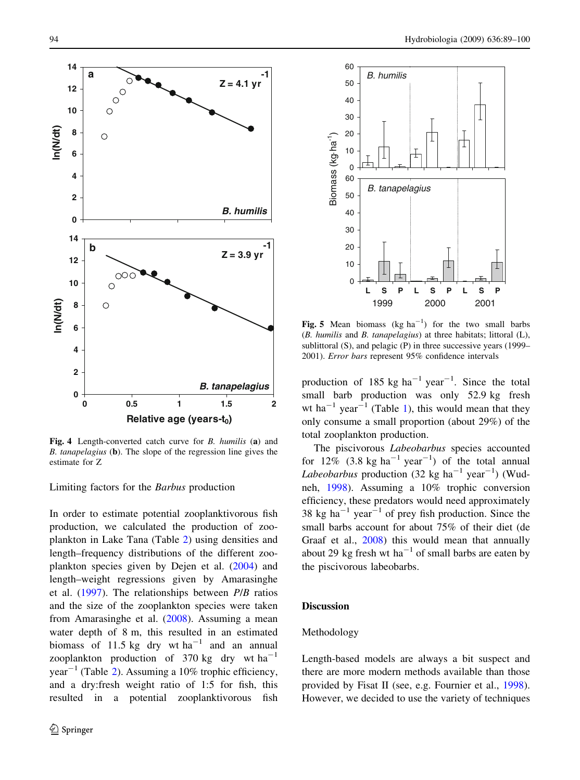<span id="page-5-0"></span>

Fig. 4 Length-converted catch curve for B. humilis (a) and B. tanapelagius (b). The slope of the regression line gives the estimate for Z

Limiting factors for the Barbus production

In order to estimate potential zooplanktivorous fish production, we calculated the production of zooplankton in Lake Tana (Table [2\)](#page-6-0) using densities and length–frequency distributions of the different zooplankton species given by Dejen et al. ([2004\)](#page-10-0) and length–weight regressions given by Amarasinghe et al. [\(1997](#page-10-0)). The relationships between P/B ratios and the size of the zooplankton species were taken from Amarasinghe et al. ([2008\)](#page-10-0). Assuming a mean water depth of 8 m, this resulted in an estimated biomass of 11.5 kg dry wt ha<sup>-1</sup> and an annual zooplankton production of 370 kg dry wt  $ha^{-1}$  $year<sup>-1</sup>$  (Table [2\)](#page-6-0). Assuming a 10% trophic efficiency, and a dry:fresh weight ratio of 1:5 for fish, this resulted in a potential zooplanktivorous fish



Fig. 5 Mean biomass  $(kg ha^{-1})$  for the two small barbs (B. humilis and B. tanapelagius) at three habitats; littoral (L), sublittoral (S), and pelagic (P) in three successive years (1999– 2001). Error bars represent 95% confidence intervals

production of 185 kg  $ha^{-1}$  year<sup>-1</sup>. Since the total small barb production was only 52.9 kg fresh wt ha<sup>-[1](#page-6-0)</sup> year<sup>-1</sup> (Table 1), this would mean that they only consume a small proportion (about 29%) of the total zooplankton production.

The piscivorous *Labeobarbus* species accounted for 12%  $(3.8 \text{ kg ha}^{-1} \text{ year}^{-1})$  of the total annual Labeobarbus production (32 kg ha<sup>-1</sup> year<sup>-1</sup>) (Wudneh, [1998\)](#page-11-0). Assuming a 10% trophic conversion efficiency, these predators would need approximately 38 kg ha<sup> $-1$ </sup> year<sup> $-1$ </sup> of prey fish production. Since the small barbs account for about 75% of their diet (de Graaf et al., [2008\)](#page-10-0) this would mean that annually about 29 kg fresh wt ha<sup>-1</sup> of small barbs are eaten by the piscivorous labeobarbs.

## **Discussion**

## Methodology

Length-based models are always a bit suspect and there are more modern methods available than those provided by Fisat II (see, e.g. Fournier et al., [1998](#page-10-0)). However, we decided to use the variety of techniques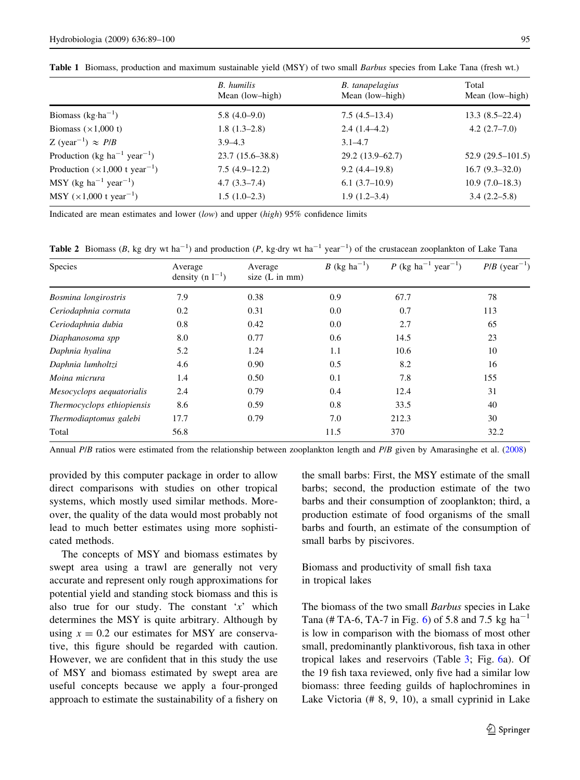<span id="page-6-0"></span>

|  |  |  | Table 1 Biomass, production and maximum sustainable yield (MSY) of two small Barbus species from Lake Tana (fresh wt.) |  |  |  |  |  |  |  |  |  |  |  |  |
|--|--|--|------------------------------------------------------------------------------------------------------------------------|--|--|--|--|--|--|--|--|--|--|--|--|
|--|--|--|------------------------------------------------------------------------------------------------------------------------|--|--|--|--|--|--|--|--|--|--|--|--|

|                                                       | <b>B.</b> humilis<br>Mean (low-high) | <b>B.</b> tanapelagius<br>Mean (low-high) | Total<br>Mean (low-high) |
|-------------------------------------------------------|--------------------------------------|-------------------------------------------|--------------------------|
| Biomass $(kg \cdot ha^{-1})$                          | $5.8(4.0-9.0)$                       | $7.5(4.5-13.4)$                           | $13.3(8.5-22.4)$         |
| Biomass $(\times 1,000)$                              | $1.8(1.3-2.8)$                       | $2.4(1.4-4.2)$                            | $4.2(2.7-7.0)$           |
| Z (year <sup>-1</sup> ) $\approx$ <i>P</i> / <i>B</i> | $3.9 - 4.3$                          | $3.1 - 4.7$                               |                          |
| Production (kg ha <sup>-1</sup> year <sup>-1</sup> )  | $23.7(15.6 - 38.8)$                  | $29.2(13.9-62.7)$                         | $52.9(29.5-101.5)$       |
| Production $(\times 1,000$ t year <sup>-1</sup> )     | $7.5(4.9-12.2)$                      | $9.2(4.4-19.8)$                           | $16.7(9.3-32.0)$         |
| $MSY$ (kg ha <sup>-1</sup> year <sup>-1</sup> )       | $4.7(3.3-7.4)$                       | $6.1(3.7-10.9)$                           | $10.9(7.0-18.3)$         |
| MSY $(\times 1,000$ t year <sup>-1</sup> )            | $1.5(1.0-2.3)$                       | $1.9(1.2-3.4)$                            | $3.4(2.2-5.8)$           |

Indicated are mean estimates and lower (low) and upper (high)  $95\%$  confidence limits

**Table 2** Biomass (B, kg dry wt ha<sup>-1</sup>) and production (P, kg·dry wt ha<sup>-1</sup> year<sup>-1</sup>) of the crustacean zooplankton of Lake Tana

| Species                    | Average<br>density (n $1^{-1}$ ) | Average<br>size $(L in mm)$ | <i>B</i> (kg ha <sup>-1</sup> ) | $P$ (kg ha <sup>-1</sup> year <sup>-1</sup> ) | $P/B$ (year <sup>-1</sup> ) |
|----------------------------|----------------------------------|-----------------------------|---------------------------------|-----------------------------------------------|-----------------------------|
| Bosmina longirostris       | 7.9                              | 0.38                        | 0.9                             | 67.7                                          | 78                          |
| Ceriodaphnia cornuta       | 0.2                              | 0.31                        | 0.0                             | 0.7                                           | 113                         |
| Ceriodaphnia dubia         | 0.8                              | 0.42                        | 0.0                             | 2.7                                           | 65                          |
| Diaphanosoma spp           | 8.0                              | 0.77                        | 0.6                             | 14.5                                          | 23                          |
| Daphnia hyalina            | 5.2                              | 1.24                        | 1.1                             | 10.6                                          | 10                          |
| Daphnia lumholtzi          | 4.6                              | 0.90                        | 0.5                             | 8.2                                           | 16                          |
| Moina micrura              | 1.4                              | 0.50                        | 0.1                             | 7.8                                           | 155                         |
| Mesocyclops aequatorialis  | 2.4                              | 0.79                        | 0.4                             | 12.4                                          | 31                          |
| Thermocyclops ethiopiensis | 8.6                              | 0.59                        | 0.8                             | 33.5                                          | 40                          |
| Thermodiaptomus galebi     | 17.7                             | 0.79                        | 7.0                             | 212.3                                         | 30                          |
| Total                      | 56.8                             |                             | 11.5                            | 370                                           | 32.2                        |

Annual P/B ratios were estimated from the relationship between zooplankton length and P/B given by Amarasinghe et al. ([2008\)](#page-10-0)

provided by this computer package in order to allow direct comparisons with studies on other tropical systems, which mostly used similar methods. Moreover, the quality of the data would most probably not lead to much better estimates using more sophisticated methods.

The concepts of MSY and biomass estimates by swept area using a trawl are generally not very accurate and represent only rough approximations for potential yield and standing stock biomass and this is also true for our study. The constant  $x'$  which determines the MSY is quite arbitrary. Although by using  $x = 0.2$  our estimates for MSY are conservative, this figure should be regarded with caution. However, we are confident that in this study the use of MSY and biomass estimated by swept area are useful concepts because we apply a four-pronged approach to estimate the sustainability of a fishery on

the small barbs: First, the MSY estimate of the small barbs; second, the production estimate of the two barbs and their consumption of zooplankton; third, a production estimate of food organisms of the small barbs and fourth, an estimate of the consumption of small barbs by piscivores.

Biomass and productivity of small fish taxa in tropical lakes

The biomass of the two small Barbus species in Lake Tana (# TA-6, TA-7 in Fig. [6\)](#page-7-0) of 5.8 and 7.5 kg ha<sup>-1</sup> is low in comparison with the biomass of most other small, predominantly planktivorous, fish taxa in other tropical lakes and reservoirs (Table [3](#page-8-0); Fig. [6a](#page-7-0)). Of the 19 fish taxa reviewed, only five had a similar low biomass: three feeding guilds of haplochromines in Lake Victoria (# 8, 9, 10), a small cyprinid in Lake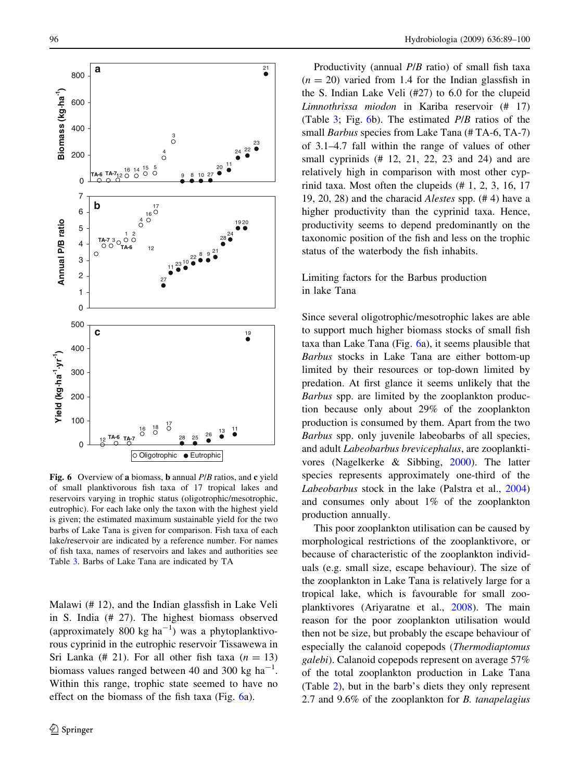<span id="page-7-0"></span>

Fig. 6 Overview of a biomass, **b** annual P/B ratios, and **c** yield of small planktivorous fish taxa of 17 tropical lakes and reservoirs varying in trophic status (oligotrophic/mesotrophic, eutrophic). For each lake only the taxon with the highest yield is given; the estimated maximum sustainable yield for the two barbs of Lake Tana is given for comparison. Fish taxa of each lake/reservoir are indicated by a reference number. For names of fish taxa, names of reservoirs and lakes and authorities see Table [3](#page-8-0). Barbs of Lake Tana are indicated by TA

Malawi (# 12), and the Indian glassfish in Lake Veli in S. India (# 27). The highest biomass observed (approximately 800 kg  $ha^{-1}$ ) was a phytoplanktivorous cyprinid in the eutrophic reservoir Tissawewa in Sri Lanka (# 21). For all other fish taxa ( $n = 13$ ) biomass values ranged between 40 and 300 kg  $ha^{-1}$ . Within this range, trophic state seemed to have no effect on the biomass of the fish taxa (Fig. 6a).

Productivity (annual P/B ratio) of small fish taxa  $(n = 20)$  varied from 1.4 for the Indian glassfish in the S. Indian Lake Veli (#27) to 6.0 for the clupeid Limnothrissa miodon in Kariba reservoir (# 17) (Table [3](#page-8-0); Fig. 6b). The estimated P/B ratios of the small *Barbus* species from Lake Tana (#TA-6, TA-7) of 3.1–4.7 fall within the range of values of other small cyprinids (# 12, 21, 22, 23 and 24) and are relatively high in comparison with most other cyprinid taxa. Most often the clupeids (# 1, 2, 3, 16, 17 19, 20, 28) and the characid Alestes spp. (# 4) have a higher productivity than the cyprinid taxa. Hence, productivity seems to depend predominantly on the taxonomic position of the fish and less on the trophic status of the waterbody the fish inhabits.

## Limiting factors for the Barbus production in lake Tana

Since several oligotrophic/mesotrophic lakes are able to support much higher biomass stocks of small fish taxa than Lake Tana (Fig. 6a), it seems plausible that Barbus stocks in Lake Tana are either bottom-up limited by their resources or top-down limited by predation. At first glance it seems unlikely that the Barbus spp. are limited by the zooplankton production because only about 29% of the zooplankton production is consumed by them. Apart from the two Barbus spp. only juvenile labeobarbs of all species, and adult Labeobarbus brevicephalus, are zooplanktivores (Nagelkerke & Sibbing, [2000\)](#page-11-0). The latter species represents approximately one-third of the Labeobarbus stock in the lake (Palstra et al., [2004\)](#page-11-0) and consumes only about 1% of the zooplankton production annually.

This poor zooplankton utilisation can be caused by morphological restrictions of the zooplanktivore, or because of characteristic of the zooplankton individuals (e.g. small size, escape behaviour). The size of the zooplankton in Lake Tana is relatively large for a tropical lake, which is favourable for small zooplanktivores (Ariyaratne et al., [2008\)](#page-10-0). The main reason for the poor zooplankton utilisation would then not be size, but probably the escape behaviour of especially the calanoid copepods (Thermodiaptomus galebi). Calanoid copepods represent on average 57% of the total zooplankton production in Lake Tana (Table [2](#page-6-0)), but in the barb's diets they only represent 2.7 and 9.6% of the zooplankton for B. tanapelagius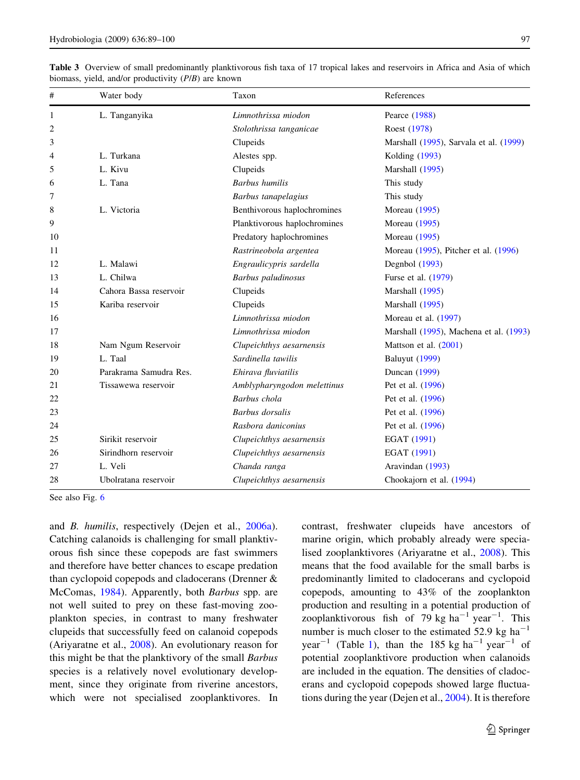| #  | Water body             | Taxon                        | References                             |  |  |  |
|----|------------------------|------------------------------|----------------------------------------|--|--|--|
| 1  | L. Tanganyika          | Limnothrissa miodon          | Pearce (1988)                          |  |  |  |
| 2  |                        | Stolothrissa tanganicae      | Roest (1978)                           |  |  |  |
| 3  |                        | Clupeids                     | Marshall (1995), Sarvala et al. (1999) |  |  |  |
| 4  | L. Turkana             | Alestes spp.                 | Kolding (1993)                         |  |  |  |
| 5  | L. Kivu                | Clupeids                     | Marshall (1995)                        |  |  |  |
| 6  | L. Tana                | <b>Barbus</b> humilis        | This study                             |  |  |  |
| 7  |                        | Barbus tanapelagius          | This study                             |  |  |  |
| 8  | L. Victoria            | Benthivorous haplochromines  | Moreau (1995)                          |  |  |  |
| 9  |                        | Planktivorous haplochromines | Moreau (1995)                          |  |  |  |
| 10 |                        | Predatory haplochromines     | Moreau (1995)                          |  |  |  |
| 11 |                        | Rastrineobola argentea       | Moreau (1995), Pitcher et al. (1996)   |  |  |  |
| 12 | L. Malawi              | Engraulicypris sardella      | Degnbol (1993)                         |  |  |  |
| 13 | L. Chilwa              | Barbus paludinosus           | Furse et al. (1979)                    |  |  |  |
| 14 | Cahora Bassa reservoir | Clupeids                     | Marshall (1995)                        |  |  |  |
| 15 | Kariba reservoir       | Clupeids                     | Marshall (1995)                        |  |  |  |
| 16 |                        | Limnothrissa miodon          | Moreau et al. (1997)                   |  |  |  |
| 17 |                        | Limnothrissa miodon          | Marshall (1995), Machena et al. (1993) |  |  |  |
| 18 | Nam Ngum Reservoir     | Clupeichthys aesarnensis     | Mattson et al. $(2001)$                |  |  |  |
| 19 | L. Taal                | Sardinella tawilis           | <b>Baluyut</b> (1999)                  |  |  |  |
| 20 | Parakrama Samudra Res. | Ehirava fluviatilis          | <b>Duncan</b> (1999)                   |  |  |  |
| 21 | Tissawewa reservoir    | Amblypharyngodon melettinus  | Pet et al. (1996)                      |  |  |  |
| 22 |                        | Barbus chola                 | Pet et al. (1996)                      |  |  |  |
| 23 |                        | <b>Barbus</b> dorsalis       | Pet et al. (1996)                      |  |  |  |
| 24 |                        | Rasbora daniconius           | Pet et al. (1996)                      |  |  |  |
| 25 | Sirikit reservoir      | Clupeichthys aesarnensis     | EGAT (1991)                            |  |  |  |
| 26 | Sirindhorn reservoir   | Clupeichthys aesarnensis     | EGAT (1991)                            |  |  |  |
| 27 | L. Veli                | Chanda ranga                 | Aravindan (1993)                       |  |  |  |
| 28 | Ubolratana reservoir   | Clupeichthys aesarnensis     | Chookajorn et al. (1994)               |  |  |  |

<span id="page-8-0"></span>Table 3 Overview of small predominantly planktivorous fish taxa of 17 tropical lakes and reservoirs in Africa and Asia of which biomass, yield, and/or productivity (P/B) are known

See also Fig. [6](#page-7-0)

and B. humilis, respectively (Dejen et al., [2006a](#page-10-0)). Catching calanoids is challenging for small planktivorous fish since these copepods are fast swimmers and therefore have better chances to escape predation than cyclopoid copepods and cladocerans (Drenner & McComas, [1984](#page-10-0)). Apparently, both *Barbus* spp. are not well suited to prey on these fast-moving zooplankton species, in contrast to many freshwater clupeids that successfully feed on calanoid copepods (Ariyaratne et al., [2008](#page-10-0)). An evolutionary reason for this might be that the planktivory of the small Barbus species is a relatively novel evolutionary development, since they originate from riverine ancestors, which were not specialised zooplanktivores. In contrast, freshwater clupeids have ancestors of marine origin, which probably already were specialised zooplanktivores (Ariyaratne et al., [2008\)](#page-10-0). This means that the food available for the small barbs is predominantly limited to cladocerans and cyclopoid copepods, amounting to 43% of the zooplankton production and resulting in a potential production of zooplanktivorous fish of 79 kg  $ha^{-1}$  year<sup>-1</sup>. This number is much closer to the estimated 52.9 kg ha<sup> $-1$ </sup> year<sup>-[1](#page-6-0)</sup> (Table 1), than the 185 kg ha<sup>-1</sup> year<sup>-1</sup> of potential zooplanktivore production when calanoids are included in the equation. The densities of cladocerans and cyclopoid copepods showed large fluctuations during the year (Dejen et al., [2004\)](#page-10-0). It is therefore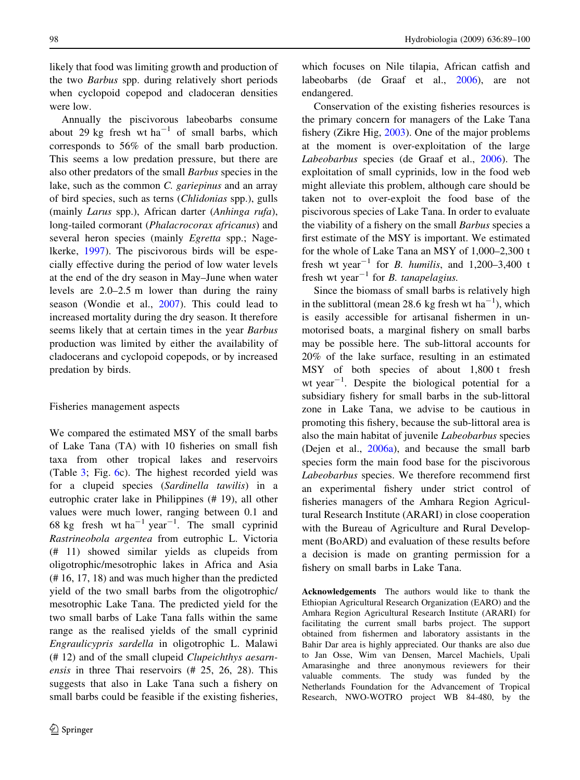likely that food was limiting growth and production of the two Barbus spp. during relatively short periods when cyclopoid copepod and cladoceran densities were low.

Annually the piscivorous labeobarbs consume about 29 kg fresh wt  $ha^{-1}$  of small barbs, which corresponds to 56% of the small barb production. This seems a low predation pressure, but there are also other predators of the small Barbus species in the lake, such as the common C. gariepinus and an array of bird species, such as terns (Chlidonias spp.), gulls (mainly Larus spp.), African darter (Anhinga rufa), long-tailed cormorant (Phalacrocorax africanus) and several heron species (mainly *Egretta* spp.; Nagelkerke, [1997](#page-11-0)). The piscivorous birds will be especially effective during the period of low water levels at the end of the dry season in May–June when water levels are 2.0–2.5 m lower than during the rainy season (Wondie et al., [2007\)](#page-11-0). This could lead to increased mortality during the dry season. It therefore seems likely that at certain times in the year *Barbus* production was limited by either the availability of cladocerans and cyclopoid copepods, or by increased predation by birds.

#### Fisheries management aspects

We compared the estimated MSY of the small barbs of Lake Tana (TA) with 10 fisheries on small fish taxa from other tropical lakes and reservoirs (Table [3](#page-8-0); Fig. [6c](#page-7-0)). The highest recorded yield was for a clupeid species (Sardinella tawilis) in a eutrophic crater lake in Philippines (# 19), all other values were much lower, ranging between 0.1 and 68 kg fresh wt ha<sup>-1</sup> year<sup>-1</sup>. The small cyprinid Rastrineobola argentea from eutrophic L. Victoria (# 11) showed similar yields as clupeids from oligotrophic/mesotrophic lakes in Africa and Asia (# 16, 17, 18) and was much higher than the predicted yield of the two small barbs from the oligotrophic/ mesotrophic Lake Tana. The predicted yield for the two small barbs of Lake Tana falls within the same range as the realised yields of the small cyprinid Engraulicypris sardella in oligotrophic L. Malawi (# 12) and of the small clupeid Clupeichthys aesarnensis in three Thai reservoirs (# 25, 26, 28). This suggests that also in Lake Tana such a fishery on small barbs could be feasible if the existing fisheries,

which focuses on Nile tilapia, African catfish and labeobarbs (de Graaf et al., [2006\)](#page-10-0), are not endangered.

Conservation of the existing fisheries resources is the primary concern for managers of the Lake Tana fishery (Zikre Hig, [2003\)](#page-11-0). One of the major problems at the moment is over-exploitation of the large Labeobarbus species (de Graaf et al., [2006\)](#page-10-0). The exploitation of small cyprinids, low in the food web might alleviate this problem, although care should be taken not to over-exploit the food base of the piscivorous species of Lake Tana. In order to evaluate the viability of a fishery on the small Barbus species a first estimate of the MSY is important. We estimated for the whole of Lake Tana an MSY of 1,000–2,300 t fresh wt year<sup>-1</sup> for *B. humilis*, and 1,200-3,400 t fresh wt year<sup>-1</sup> for *B*. tanapelagius.

Since the biomass of small barbs is relatively high in the sublittoral (mean 28.6 kg fresh wt  $ha^{-1}$ ), which is easily accessible for artisanal fishermen in unmotorised boats, a marginal fishery on small barbs may be possible here. The sub-littoral accounts for 20% of the lake surface, resulting in an estimated MSY of both species of about 1,800 t fresh wt year<sup> $-1$ </sup>. Despite the biological potential for a subsidiary fishery for small barbs in the sub-littoral zone in Lake Tana, we advise to be cautious in promoting this fishery, because the sub-littoral area is also the main habitat of juvenile Labeobarbus species (Dejen et al., [2006a](#page-10-0)), and because the small barb species form the main food base for the piscivorous Labeobarbus species. We therefore recommend first an experimental fishery under strict control of fisheries managers of the Amhara Region Agricultural Research Institute (ARARI) in close cooperation with the Bureau of Agriculture and Rural Development (BoARD) and evaluation of these results before a decision is made on granting permission for a fishery on small barbs in Lake Tana.

Acknowledgements The authors would like to thank the Ethiopian Agricultural Research Organization (EARO) and the Amhara Region Agricultural Research Institute (ARARI) for facilitating the current small barbs project. The support obtained from fishermen and laboratory assistants in the Bahir Dar area is highly appreciated. Our thanks are also due to Jan Osse, Wim van Densen, Marcel Machiels, Upali Amarasinghe and three anonymous reviewers for their valuable comments. The study was funded by the Netherlands Foundation for the Advancement of Tropical Research, NWO-WOTRO project WB 84-480, by the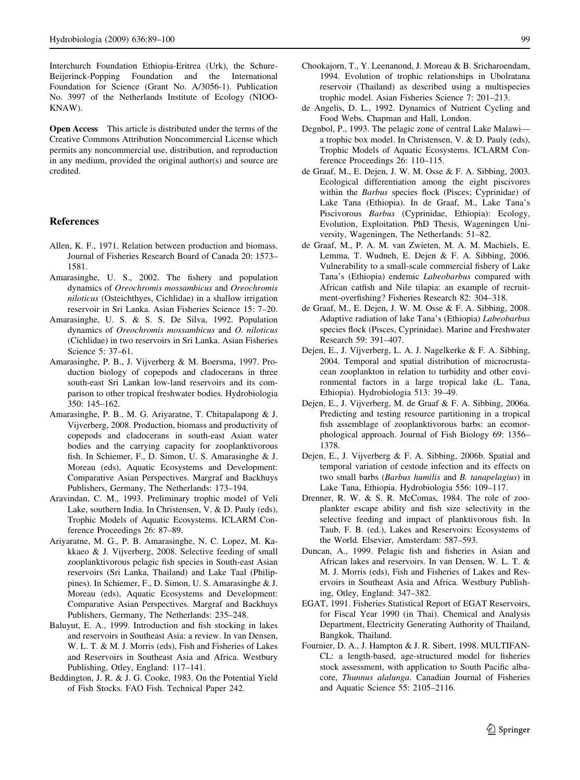<span id="page-10-0"></span>Interchurch Foundation Ethiopia-Eritrea (Urk), the Schure-Beijerinck-Popping Foundation and the International Foundation for Science (Grant No. A/3056-1). Publication No. 3997 of the Netherlands Institute of Ecology (NIOO-KNAW).

Open Access This article is distributed under the terms of the Creative Commons Attribution Noncommercial License which permits any noncommercial use, distribution, and reproduction in any medium, provided the original author(s) and source are credited.

## References

- Allen, K. F., 1971. Relation between production and biomass. Journal of Fisheries Research Board of Canada 20: 1573– 1581.
- Amarasinghe, U. S., 2002. The fishery and population dynamics of Oreochromis mossambicus and Oreochromis niloticus (Osteichthyes, Cichlidae) in a shallow irrigation reservoir in Sri Lanka. Asian Fisheries Science 15: 7–20.
- Amarasinghe, U. S. & S. S. De Silva, 1992. Population dynamics of Oreochromis mossambicus and O. niloticus (Cichlidae) in two reservoirs in Sri Lanka. Asian Fisheries Science 5: 37–61.
- Amarasinghe, P. B., J. Vijverberg & M. Boersma, 1997. Production biology of copepods and cladocerans in three south-east Sri Lankan low-land reservoirs and its comparison to other tropical freshwater bodies. Hydrobiologia 350: 145–162.
- Amarasinghe, P. B., M. G. Ariyaratne, T. Chitapalapong & J. Vijverberg, 2008. Production, biomass and productivity of copepods and cladocerans in south-east Asian water bodies and the carrying capacity for zooplanktivorous fish. In Schiemer, F., D. Simon, U. S. Amarasinghe & J. Moreau (eds), Aquatic Ecosystems and Development: Comparative Asian Perspectives. Margraf and Backhuys Publishers, Germany, The Netherlands: 173–194.
- Aravindan, C. M., 1993. Preliminary trophic model of Veli Lake, southern India. In Christensen, V. & D. Pauly (eds), Trophic Models of Aquatic Ecosystems. ICLARM Conference Proceedings 26: 87–89.
- Ariyaratne, M. G., P. B. Amarasinghe, N. C. Lopez, M. Kakkaeo & J. Vijverberg, 2008. Selective feeding of small zooplanktivorous pelagic fish species in South-east Asian reservoirs (Sri Lanka, Thailand) and Lake Taal (Philippines). In Schiemer, F., D. Simon, U. S. Amarasinghe & J. Moreau (eds), Aquatic Ecosystems and Development: Comparative Asian Perspectives. Margraf and Backhuys Publishers, Germany, The Netherlands: 235–248.
- Baluyut, E. A., 1999. Introduction and fish stocking in lakes and reservoirs in Southeast Asia: a review. In van Densen, W. L. T. & M. J. Morris (eds), Fish and Fisheries of Lakes and Reservoirs in Southeast Asia and Africa. Westbury Publishing, Otley, England: 117–141.
- Beddington, J. R. & J. G. Cooke, 1983. On the Potential Yield of Fish Stocks. FAO Fish. Technical Paper 242.
- Chookajorn, T., Y. Leenanond, J. Moreau & B. Sricharoendam, 1994. Evolution of trophic relationships in Ubolratana reservoir (Thailand) as described using a multispecies trophic model. Asian Fisheries Science 7: 201–213.
- de Angelis, D. L., 1992. Dynamics of Nutrient Cycling and Food Webs. Chapman and Hall, London.
- Degnbol, P., 1993. The pelagic zone of central Lake Malawi a trophic box model. In Christensen, V. & D. Pauly (eds), Trophic Models of Aquatic Ecosystems. ICLARM Conference Proceedings 26: 110–115.
- de Graaf, M., E. Dejen, J. W. M. Osse & F. A. Sibbing, 2003. Ecological differentiation among the eight piscivores within the *Barbus* species flock (Pisces; Cyprinidae) of Lake Tana (Ethiopia). In de Graaf, M., Lake Tana's Piscivorous Barbus (Cyprinidae, Ethiopia): Ecology, Evolution, Exploitation. PhD Thesis, Wageningen University, Wageningen, The Netherlands: 51–82.
- de Graaf, M., P. A. M. van Zwieten, M. A. M. Machiels, E. Lemma, T. Wudneh, E. Dejen & F. A. Sibbing, 2006. Vulnerability to a small-scale commercial fishery of Lake Tana's (Ethiopia) endemic Labeobarbus compared with African catfish and Nile tilapia: an example of recruitment-overfishing? Fisheries Research 82: 304–318.
- de Graaf, M., E. Dejen, J. W. M. Osse & F. A. Sibbing, 2008. Adaptive radiation of lake Tana's (Ethiopia) Labeobarbus species flock (Pisces, Cyprinidae). Marine and Freshwater Research 59: 391–407.
- Dejen, E., J. Vijverberg, L. A. J. Nagelkerke & F. A. Sibbing, 2004. Temporal and spatial distribution of microcrustacean zooplankton in relation to turbidity and other environmental factors in a large tropical lake (L. Tana, Ethiopia). Hydrobiologia 513: 39–49.
- Dejen, E., J. Vijverberg, M. de Graaf & F. A. Sibbing, 2006a. Predicting and testing resource partitioning in a tropical fish assemblage of zooplanktivorous barbs: an ecomorphological approach. Journal of Fish Biology 69: 1356– 1378.
- Dejen, E., J. Vijverberg & F. A. Sibbing, 2006b. Spatial and temporal variation of cestode infection and its effects on two small barbs (Barbus humilis and B. tanapelagius) in Lake Tana, Ethiopia. Hydrobiologia 556: 109–117.
- Drenner, R. W. & S. R. McComas, 1984. The role of zooplankter escape ability and fish size selectivity in the selective feeding and impact of planktivorous fish. In Taub, F. B. (ed.), Lakes and Reservoirs: Ecosystems of the World. Elsevier, Amsterdam: 587–593.
- Duncan, A., 1999. Pelagic fish and fisheries in Asian and African lakes and reservoirs. In van Densen, W. L. T. & M. J. Morris (eds), Fish and Fisheries of Lakes and Reservoirs in Southeast Asia and Africa. Westbury Publishing, Otley, England: 347–382.
- EGAT, 1991. Fisheries Statistical Report of EGAT Reservoirs, for Fiscal Year 1990 (in Thai). Chemical and Analysis Department, Electricity Generating Authority of Thailand, Bangkok, Thailand.
- Fournier, D. A., J. Hampton & J. R. Sibert, 1998. MULTIFAN-CL: a length-based, age-structured model for fisheries stock assessment, with application to South Pacific albacore, Thunnus alalunga. Canadian Journal of Fisheries and Aquatic Science 55: 2105–2116.